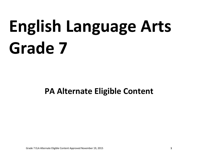# **English Language Arts Grade 7**

# **PA Alternate Eligible Content**

Grade 7 ELA Alternate Eligible Content Approved November 19, 2015 **1**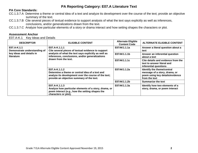# **PA Core Standards:**

- CC.1.3.7.A Determine a theme or central idea of a text and analyze its development over the course of the text; provide an objective summary of the text.
- CC.1.3.7.B Cite several pieces of textual evidence to support analysis of what the text says explicitly as well as inferences, conclusions, and/or generalizations drawn from the text.
- CC.1.3.7.C Analyze how particular elements of a story or drama interact and how setting shapes the characters or plot.

#### **Assessment Anchor**

E07.A-K.1 Key Ideas and Details

| <b>DESCRIPTOR</b>                                                                     | <b>ELIGIBLE CONTENT</b>                                                                                                                                                                                | <b>Alternate Eligible</b><br><b>Content Code</b> | <b>ALTERNATE ELIGIBLE CONTENT</b>                                                                               |
|---------------------------------------------------------------------------------------|--------------------------------------------------------------------------------------------------------------------------------------------------------------------------------------------------------|--------------------------------------------------|-----------------------------------------------------------------------------------------------------------------|
| E07.A-K.1.1<br>Demonstrate understanding of<br>key ideas and details in<br>literature | E07.A-K.1.1.1<br>Cite several pieces of textual evidence to support<br>analysis of what the text says explicitly as well as<br>inferences, conclusions, and/or generalizations<br>drawn from the text. | E07AK1.1.1a                                      | Answer a literal question about a<br>text                                                                       |
|                                                                                       |                                                                                                                                                                                                        | E07AK1.1.1b                                      | Answer an inferential question<br>about a text                                                                  |
|                                                                                       |                                                                                                                                                                                                        | E07AK1.1.1c                                      | Cite details and evidence from the<br>text to answer literal and<br>inferential questions                       |
|                                                                                       | E07.A-K.1.1.2<br>Determine a theme or central idea of a text and<br>analyze its development over the course of the text;<br>provide an objective summary of the text.                                  | E07AK1.1.2a                                      | Identify the theme/central<br>message of a story, drama, or<br>poem using key details/evidence<br>from the text |
|                                                                                       |                                                                                                                                                                                                        | E07AK1.1.2b                                      | <b>Summarize the text</b>                                                                                       |
|                                                                                       | E07.A-K.1.1.3<br>Analyze how particular elements of a story, drama, or<br>poem interact (e.g., how the setting shapes the<br>characters or plot).                                                      | E07AK1.1.3a                                      | Identify how two elements of a<br>story, drama, or poem interact                                                |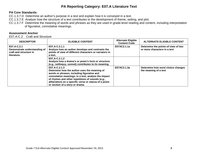# **PA Core Standards:**

- CC.1.3.7.D Determine an author's purpose in a text and explain how it is conveyed in a text.
- CC.1.3.7.E Analyze how the structure of a text contributes to the development of theme, setting, and plot.
- CC.1.3.7.F Determine the meaning of words and phrases as they are used in grade-level reading and content, including interpretation of figurative, connotative meanings.

### **Assessment Anchor**

E07.A-C.2 Craft and Structure

| <b>DESCRIPTOR</b>                                                                    | <b>ELIGIBLE CONTENT</b>                                                                                                                                                                                                                                                                                            | <b>Alternate Eligible</b><br><b>Content Code</b> | <b>ALTERNATE ELIGIBLE CONTENT</b>                                   |
|--------------------------------------------------------------------------------------|--------------------------------------------------------------------------------------------------------------------------------------------------------------------------------------------------------------------------------------------------------------------------------------------------------------------|--------------------------------------------------|---------------------------------------------------------------------|
| E07.A-C.2.1<br>Demonstrate understanding of<br>craft and structure in<br>literature. | E07.A-C.2.1.1<br>Analyze how an author develops and contrasts the<br>points of view of different characters or narrators in<br>a text.                                                                                                                                                                             | E07AC2.1.1a                                      | Determine the points-of-view of two<br>or more characters in a text |
|                                                                                      | E07.A-C.2.1.2<br>Analyze how a drama's or poem's form or structure<br>(e.g., soliloquy, sonnet) contributes to its meaning.                                                                                                                                                                                        |                                                  |                                                                     |
|                                                                                      | E07.A-C.2.1.3<br>Determine how the author uses the meaning of<br>words or phrases, including figurative and<br>connotative meanings, in a text; analyze the impact<br>of rhymes and other repetitions of sounds (e.g.,<br>alliteration) on a specific verse or stanza of a poem<br>or section of a story or drama. | E07AC2.1.3a                                      | Determine how word choice changes<br>the meaning of a text          |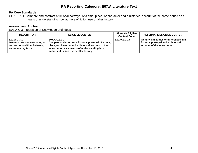#### **PA Core Standards:**

CC.1.3.7.H Compare and contrast a fictional portrayal of a time, place, or character and a historical account of the same period as a means of understanding how authors of fiction use or alter history.

# **Assessment Anchor**

E07.A-C.3 Integration of Knowledge and Ideas

| <b>DESCRIPTOR</b>                                                                                  | <b>ELIGIBLE CONTENT</b>                                                                                                                                                                                                  | <b>Alternate Eligible</b><br><b>Content Code</b> | <b>ALTERNATE ELIGIBLE CONTENT</b>                                                                               |
|----------------------------------------------------------------------------------------------------|--------------------------------------------------------------------------------------------------------------------------------------------------------------------------------------------------------------------------|--------------------------------------------------|-----------------------------------------------------------------------------------------------------------------|
| E07.A-C.3.1<br>Demonstrate understanding of<br>connections within, between,<br>and/or among texts. | E07.A-C.3.1.1<br>Compare and contrast a fictional portrayal of a time,<br>place, or character and a historical account of the<br>same period as a means of understanding how<br>authors of fiction use or alter history. | E07AC3.1.1a                                      | Identify similarities or differences in a<br>fictional portrayal and a historical<br>account of the same period |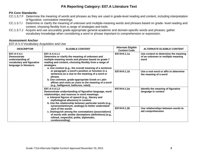### **PA Core Standards:**

- CC.1.3.7.F Determine the meaning of words and phrases as they are used in grade-level reading and content, including interpretation of figurative, connotative meanings.
- CC.1.3.7.I Determine or clarify the meaning of unknown and multiple-meaning words and phrases based on grade- level reading and content, choosing flexibly from a range of strategies and tools.
- CC.1.3.7.J Acquire and use accurately grade-appropriate general academic and domain-specific words and phrases; gather vocabulary knowledge when considering a word or phrase important to comprehension or expression.

#### **Assessment Anchor**

E07.A-V.4 Vocabulary Acquisition and Use

| <b>DESCRIPTOR</b>                                                                                             | <b>ELIGIBLE CONTENT</b>                                                                                                                                                                                                                                                                                                                                                                                                                                                                                                           | <b>Alternate Eligible</b><br><b>Content Code</b> | <b>ALTERNATE ELIGIBLE CONTENT</b>                                                 |
|---------------------------------------------------------------------------------------------------------------|-----------------------------------------------------------------------------------------------------------------------------------------------------------------------------------------------------------------------------------------------------------------------------------------------------------------------------------------------------------------------------------------------------------------------------------------------------------------------------------------------------------------------------------|--------------------------------------------------|-----------------------------------------------------------------------------------|
| E07.A-V.4.1<br><b>Demonstrate</b><br>understanding of<br>vocabulary and figurative<br>language in literature. | E07.A-V.4.1.1<br>Determine or clarify the meaning of unknown and<br>multiple-meaning words and phrases based on grade 7<br>reading and content, choosing flexibly from a range of<br>strategies.<br>a. Use context (e.g., the overall meaning of a sentence<br>or paragraph; a word's position or function in a<br>sentence) as a clue to the meaning of a word or<br>phrase.<br>b. Use common, grade-appropriate Greek or Latin<br>affixes and roots as clues to the meaning of a word<br>(e.g., belligerent, bellicose, rebel). | E07AV4.1.1a                                      | Use context to determine the meaning<br>of an unknown or multiple meaning<br>word |
|                                                                                                               |                                                                                                                                                                                                                                                                                                                                                                                                                                                                                                                                   | E07AV4.1.1b                                      | Use a root word or affix to determine<br>the meaning of a word                    |
|                                                                                                               | E07.A-V.4.1.2<br>Demonstrate understanding of figurative language, word<br>relationships, and nuances in word meanings.<br>a. Interpret figures of speech (e.g., literary and<br>mythological allusions) in context.<br>b. Use the relationship between particular words (e.g.,<br>synonym/antonym, analogy) to better understand                                                                                                                                                                                                 | E07AV4.1.2a                                      | Identify the meaning of figurative<br>language in context                         |
|                                                                                                               | each of the words.<br>c. Distinguish among the connotations (associations)<br>of words with similar denotations (definitions) (e.g.,<br>refined, respectful, polite, diplomatic,<br>condescending).                                                                                                                                                                                                                                                                                                                               | E07AV4.1.2b                                      | Use relationships between words to<br>aid comprehension                           |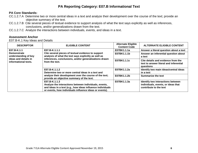### **PA Core Standards:**

- CC.1.2.7.A Determine two or more central ideas in a text and analyze their development over the course of the text; provide an objective summary of the text.
- CC.1.2.7.B Cite several pieces of textual evidence to support analysis of what the text says explicitly as well as inferences, conclusions, and/or generalizations drawn from the text.
- CC.1.2.7.C Analyze the interactions between individuals, events, and ideas in a text.

### **Assessment Anchor**

E07.B-K.1 Key Ideas and Details

| <b>DESCRIPTOR</b>                          | <b>ELIGIBLE CONTENT</b>                                                                                                                                                                                                        | <b>Alternate Eligible</b><br><b>Content Code</b> | <b>ALTERNATE ELIGIBLE CONTENT</b>                                                                 |
|--------------------------------------------|--------------------------------------------------------------------------------------------------------------------------------------------------------------------------------------------------------------------------------|--------------------------------------------------|---------------------------------------------------------------------------------------------------|
| E07.B-K.1.1                                | E07.B-K.1.1.1<br>Cite several pieces of textual evidence to support<br>analysis of what the text says explicitly as well as<br>inferences, conclusions, and/or generalizations drawn<br>ideas and details in<br>from the text. | E07BK1.1.1a                                      | Answer a literal question about a text                                                            |
| <b>Demonstrate</b><br>understanding of key |                                                                                                                                                                                                                                | E07BK1.1.1b                                      | Answer an inferential question about<br>a text                                                    |
| informational texts.                       |                                                                                                                                                                                                                                | E07BK1.1.1c                                      | Cite details and evidence from the<br>text to answer literal and inferential<br>questions         |
|                                            | E07.B-K.1.1.2<br>Determine two or more central ideas in a text and<br>analyze their development over the course of the text;<br>provide an objective summary of the text.                                                      | E07BK1.1.2a                                      | Identify two main ideas/central ideas<br>in a text                                                |
|                                            |                                                                                                                                                                                                                                | E07BK1.1.2b                                      | <b>Summarize the text</b>                                                                         |
|                                            | E07.B-K.1.1.3<br>Analyze the interactions between individuals, events,<br>and ideas in a text (e.g., how ideas influence individuals<br>or events, how individuals influence ideas or events).                                 | E07BK1.1.3a                                      | Identify two interactions between<br>individuals, events, or ideas that<br>contribute to the text |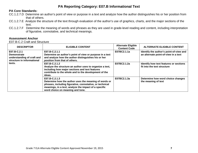#### **PA Core Standards:**

- CC.1.2.7.D Determine an author's point of view or purpose in a text and analyze how the author distinguishes his or her position from that of others.
- CC.1.2.7.E Analyze the structure of the text through evaluation of the author's use of graphics, charts, and the major sections of the text.
- CC.1.2.7.F Determine the meaning of words and phrases as they are used in grade-level reading and content, including interpretation of figurative, connotative, and technical meanings.

#### **Assessment Anchor**

E07.B-C.2 Craft and Structure

| <b>DESCRIPTOR</b>                                                                                       | <b>ELIGIBLE CONTENT</b>                                                                                                                                                                                                         | <b>Alternate Eligible</b><br><b>Content Code</b> | <b>ALTERNATE ELIGIBLE CONTENT</b>                                               |
|---------------------------------------------------------------------------------------------------------|---------------------------------------------------------------------------------------------------------------------------------------------------------------------------------------------------------------------------------|--------------------------------------------------|---------------------------------------------------------------------------------|
| E07.B-C.2.1<br><b>Demonstrate</b><br>understanding of craft and<br>structure in informational<br>texts. | E07.B-C.2.1.1<br>Determine an author's point of view or purpose in a text<br>and analyze how the author distinguishes his or her<br>position from that of others.                                                               | E07BC2.1.1a                                      | Identify the author's point-of-view and<br>an alternate point-of-view in a text |
|                                                                                                         | E07.B-C.2.1.2<br>Analyze the structure an author uses to organize a text,<br>including how major sections and text features<br>contribute to the whole and to the development of the<br>ideas.                                  | E07BC2.1.2a                                      | Identify how text features or sections<br>fit into the text structure           |
|                                                                                                         | E07.B-C.2.1.3<br>Determine how the author uses the meaning of words or<br>phrases, including figurative, connotative, or technical<br>meanings, in a text; analyze the impact of a specific<br>word choice on meaning and tone. | E07BC2.1.3a                                      | Determine how word choice changes<br>the meaning of text                        |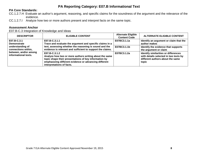# **PA Core Standards:**

- CC.1.2.7.H Evaluate an author's argument, reasoning, and specific claims for the soundness of the argument and the relevance of the evidence.
- CC.1.2.7.I Analyze how two or more authors present and interpret facts on the same topic.

# **Assessment Anchor**

E07.B-C.3 Integration of Knowledge and Ideas

| <b>DESCRIPTOR</b>                                                                        | <b>ELIGIBLE CONTENT</b>                                                                                                                                                                                                | <b>Alternate Eligible</b><br><b>Content Code</b> | <b>ALTERNATE ELIGIBLE CONTENT</b>                                                                                          |
|------------------------------------------------------------------------------------------|------------------------------------------------------------------------------------------------------------------------------------------------------------------------------------------------------------------------|--------------------------------------------------|----------------------------------------------------------------------------------------------------------------------------|
| E07.B-C.3.1<br><b>Demonstrate</b>                                                        | E07.B-C.3.1.1<br>Trace and evaluate the argument and specific claims in a                                                                                                                                              | E07BC3.1.1a                                      | Identify an argument or claim that the<br>author makes                                                                     |
| understanding of<br>connections within,<br>between, and/or among<br>informational texts. | text, assessing whether the reasoning is sound and the<br>evidence is relevant and sufficient to support the claims.                                                                                                   | E07BC3.1.1b                                      | Identify the evidence that supports<br>the argument or claim                                                               |
|                                                                                          | E07.B-C.3.1.2<br>Analyze how two or more authors writing about the same<br>topic shape their presentations of key information by<br>emphasizing different evidence or advancing different<br>interpretations of facts. | E07BC3.1.2a                                      | Identify similarities or differences<br>with details selected in two texts by<br>different authors about the same<br>topic |